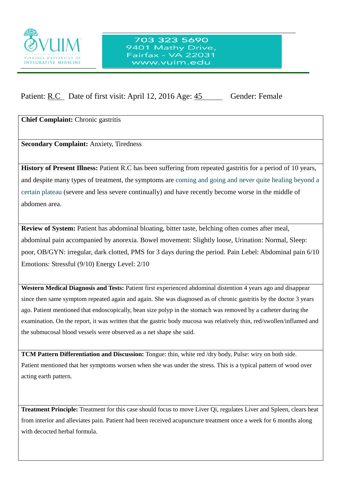

## 703 323 5690 9401 Mathy Drive, Fairfax - VA 22031 www.vuim.edu

Patient: R.C Date of first visit: April 12, 2016 Age: 45 Gender: Female

**Chief Complaint:** Chronic gastritis

**Secondary Complaint:** Anxiety, Tiredness

 $\overline{a}$ 

**History of Present Illness:** Patient R.C has been suffering from repeated gastritis for a period of 10 years, and despite many types of treatment, the symptoms are coming and going and never quite healing beyond a certain plateau (severe and less severe continually) and have recently become worse in the middle of abdomen area.

**Review of System:** Patient has abdominal bloating, bitter taste, belching often comes after meal, abdominal pain accompanied by anorexia. Bowel movement: Slightly loose, Urination: Normal, Sleep: poor, OB/GYN: irregular, dark clotted, PMS for 3 days during the period. Pain Lebel: Abdominal pain 6/10 Emotions: Stressful (9/10) Energy Level: 2/10

**Western Medical Diagnosis and Tests:** Patient first experienced abdominal distention 4 years ago and disappear since then same symptom repeated again and again. She was diagnosed as of chronic gastritis by the doctor 3 years ago. Patient mentioned that endoscopically, bean size polyp in the stomach was removed by a catheter during the examination. On the report, it was written that the gastric body mucosa was relatively thin, red/swollen/inflamed and the submucosal blood vessels were observed as a net shape she said.

**TCM Pattern Differentiation and Discussion:** Tongue: thin, white red /dry body, Pulse: wiry on both side. Patient mentioned that her symptoms worsen when she was under the stress. This is a typical pattern of wood over acting earth pattern.

**Treatment Principle:** Treatment for this case should focus to move Liver Qi, regulates Liver and Spleen, clears heat from interior and alleviates pain. Patient had been received acupuncture treatment once a week for 6 months along with decocted herbal formula.